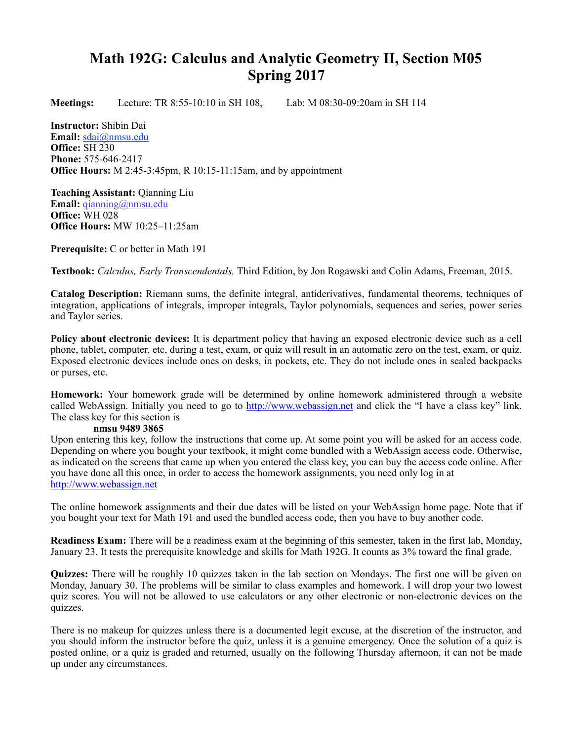# **Math 192G: Calculus and Analytic Geometry II, Section M05 Spring 2017**

**Meetings:** Lecture: TR 8:55-10:10 in SH 108, Lab: M 08:30-09:20am in SH 114

**Instructor:** Shibin Dai **Email:** [sdai@nmsu.edu](mailto:sdai@nmsu.edu?subject=) **Office:** SH 230 **Phone:** 575-646-2417 **Office Hours:** M 2:45-3:45pm, R 10:15-11:15am, and by appointment

**Teaching Assistant:** Qianning Liu **Email:** [qianning@nmsu.edu](mailto:qianning@nmsu.edu?subject=) **Office:** WH 028 **Office Hours:** MW 10:25–11:25am

**Prerequisite:** C or better in Math 191

**Textbook:** *Calculus, Early Transcendentals,* Third Edition, by Jon Rogawski and Colin Adams, Freeman, 2015.

**Catalog Description:** Riemann sums, the definite integral, antiderivatives, fundamental theorems, techniques of integration, applications of integrals, improper integrals, Taylor polynomials, sequences and series, power series and Taylor series.

**Policy about electronic devices:** It is department policy that having an exposed electronic device such as a cell phone, tablet, computer, etc, during a test, exam, or quiz will result in an automatic zero on the test, exam, or quiz. Exposed electronic devices include ones on desks, in pockets, etc. They do not include ones in sealed backpacks or purses, etc.

**Homework:** Your homework grade will be determined by online homework administered through a website called WebAssign. Initially you need to go to [http://www.webassign.net](http://www.webassign.net/) and click the "I have a class key" link. The class key for this section is

### **nmsu 9489 3865**

Upon entering this key, follow the instructions that come up. At some point you will be asked for an access code. Depending on where you bought your textbook, it might come bundled with a WebAssign access code. Otherwise, as indicated on the screens that came up when you entered the class key, you can buy the access code online. After you have done all this once, in order to access the homework assignments, you need only log in at [http://www.webassign.net](http://www.webassign.net/)

The online homework assignments and their due dates will be listed on your WebAssign home page. Note that if you bought your text for Math 191 and used the bundled access code, then you have to buy another code.

**Readiness Exam:** There will be a readiness exam at the beginning of this semester, taken in the first lab, Monday, January 23. It tests the prerequisite knowledge and skills for Math 192G. It counts as 3% toward the final grade.

**Quizzes:** There will be roughly 10 quizzes taken in the lab section on Mondays. The first one will be given on Monday, January 30. The problems will be similar to class examples and homework. I will drop your two lowest quiz scores. You will not be allowed to use calculators or any other electronic or non-electronic devices on the quizzes.

There is no makeup for quizzes unless there is a documented legit excuse, at the discretion of the instructor, and you should inform the instructor before the quiz, unless it is a genuine emergency. Once the solution of a quiz is posted online, or a quiz is graded and returned, usually on the following Thursday afternoon, it can not be made up under any circumstances.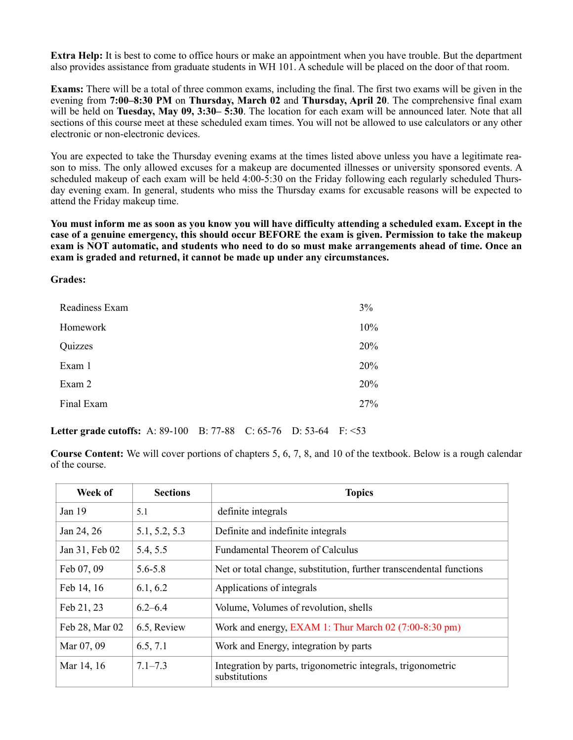**Extra Help:** It is best to come to office hours or make an appointment when you have trouble. But the department also provides assistance from graduate students in WH 101. A schedule will be placed on the door of that room.

**Exams:** There will be a total of three common exams, including the final. The first two exams will be given in the evening from **7:00–8:30 PM** on **Thursday, March 02** and **Thursday, April 20**. The comprehensive final exam will be held on **Tuesday, May 09, 3:30– 5:30**. The location for each exam will be announced later. Note that all sections of this course meet at these scheduled exam times. You will not be allowed to use calculators or any other electronic or non-electronic devices.

You are expected to take the Thursday evening exams at the times listed above unless you have a legitimate reason to miss. The only allowed excuses for a makeup are documented illnesses or university sponsored events. A scheduled makeup of each exam will be held 4:00-5:30 on the Friday following each regularly scheduled Thursday evening exam. In general, students who miss the Thursday exams for excusable reasons will be expected to attend the Friday makeup time.

**You must inform me as soon as you know you will have difficulty attending a scheduled exam. Except in the case of a genuine emergency, this should occur BEFORE the exam is given. Permission to take the makeup exam is NOT automatic, and students who need to do so must make arrangements ahead of time. Once an exam is graded and returned, it cannot be made up under any circumstances.**

### **Grades:**

| Readiness Exam | 3%  |
|----------------|-----|
| Homework       | 10% |
| Quizzes        | 20% |
| Exam 1         | 20% |
| Exam 2         | 20% |
| Final Exam     | 27% |

# **Letter grade cutoffs:** A: 89-100 B: 77-88 C: 65-76 D: 53-64 F: <53

**Course Content:** We will cover portions of chapters 5, 6, 7, 8, and 10 of the textbook. Below is a rough calendar of the course.

| Week of           | <b>Sections</b> | <b>Topics</b>                                                                 |
|-------------------|-----------------|-------------------------------------------------------------------------------|
| Jan <sub>19</sub> | 5.1             | definite integrals                                                            |
| Jan 24, 26        | 5.1, 5.2, 5.3   | Definite and indefinite integrals                                             |
| Jan 31, Feb 02    | 5.4, 5.5        | <b>Fundamental Theorem of Calculus</b>                                        |
| Feb 07, 09        | 5.6-5.8         | Net or total change, substitution, further transcendental functions           |
| Feb 14, 16        | 6.1, 6.2        | Applications of integrals                                                     |
| Feb 21, 23        | $6.2 - 6.4$     | Volume, Volumes of revolution, shells                                         |
| Feb 28, Mar 02    | 6.5, Review     | Work and energy, EXAM 1: Thur March 02 (7:00-8:30 pm)                         |
| Mar 07, 09        | 6.5, 7.1        | Work and Energy, integration by parts                                         |
| Mar 14, 16        | $7.1 - 7.3$     | Integration by parts, trigonometric integrals, trigonometric<br>substitutions |